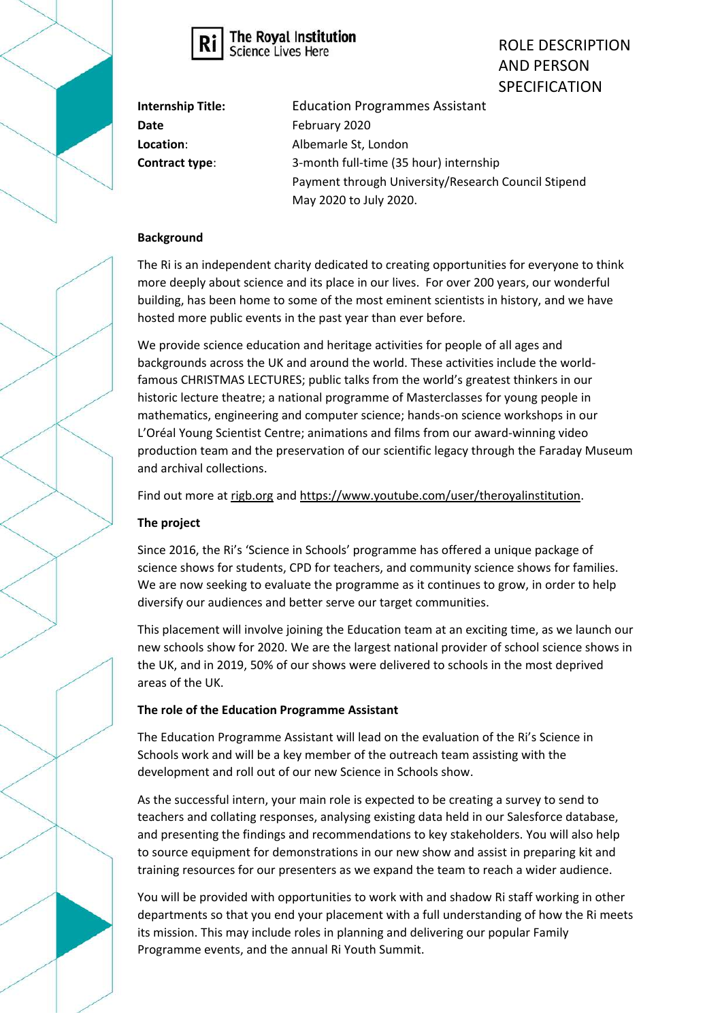



ROLE DESCRIPTION AND PERSON SPECIFICATION

| <b>Internship Title:</b> | <b>Education Programmes Assistant</b>               |
|--------------------------|-----------------------------------------------------|
| Date                     | February 2020                                       |
| Location:                | Albemarle St, London                                |
| Contract type:           | 3-month full-time (35 hour) internship              |
|                          | Payment through University/Research Council Stipend |
|                          | May 2020 to July 2020.                              |

## **Background**

The Ri is an independent charity dedicated to creating opportunities for everyone to think more deeply about science and its place in our lives. For over 200 years, our wonderful building, has been home to some of the most eminent scientists in history, and we have hosted more public events in the past year than ever before.

We provide science education and heritage activities for people of all ages and backgrounds across the UK and around the world. These activities include the worldfamous CHRISTMAS LECTURES; public talks from the world's greatest thinkers in our historic lecture theatre; a national programme of Masterclasses for young people in mathematics, engineering and computer science; hands-on science workshops in our L'Oréal Young Scientist Centre; animations and films from our award-winning video production team and the preservation of our scientific legacy through the Faraday Museum and archival collections.

Find out more a[t rigb.org](http://www.rigb.org/) and [https://www.youtube.com/user/theroyalinstitution.](https://www.youtube.com/user/theroyalinstitution)

# **The project**

Since 2016, the Ri's 'Science in Schools' programme has offered a unique package of science shows for students, CPD for teachers, and community science shows for families. We are now seeking to evaluate the programme as it continues to grow, in order to help diversify our audiences and better serve our target communities.

This placement will involve joining the Education team at an exciting time, as we launch our new schools show for 2020. We are the largest national provider of school science shows in the UK, and in 2019, 50% of our shows were delivered to schools in the most deprived areas of the UK.

### **The role of the Education Programme Assistant**

The Education Programme Assistant will lead on the evaluation of the Ri's Science in Schools work and will be a key member of the outreach team assisting with the development and roll out of our new Science in Schools show.

As the successful intern, your main role is expected to be creating a survey to send to teachers and collating responses, analysing existing data held in our Salesforce database, and presenting the findings and recommendations to key stakeholders. You will also help to source equipment for demonstrations in our new show and assist in preparing kit and training resources for our presenters as we expand the team to reach a wider audience.

You will be provided with opportunities to work with and shadow Ri staff working in other departments so that you end your placement with a full understanding of how the Ri meets its mission. This may include roles in planning and delivering our popular Family Programme events, and the annual Ri Youth Summit.